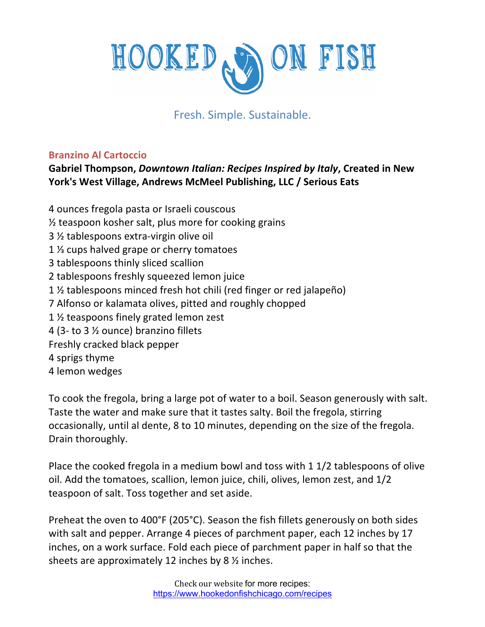

## Fresh. Simple. Sustainable.

## **Branzino Al Cartoccio**

## **Gabriel Thompson,** *Downtown Italian: Recipes Inspired by Italy***, Created in New York's West Village, Andrews McMeel Publishing, LLC / Serious Eats**

4 ounces fregola pasta or Israeli couscous ½ teaspoon kosher salt, plus more for cooking grains 3 ½ tablespoons extra-virgin olive oil 1 ⅓ cups halved grape or cherry tomatoes 3 tablespoons thinly sliced scallion 2 tablespoons freshly squeezed lemon juice 1 ½ tablespoons minced fresh hot chili (red finger or red jalapeño) 7 Alfonso or kalamata olives, pitted and roughly chopped 1 ½ teaspoons finely grated lemon zest 4 (3- to 3 ½ ounce) branzino fillets Freshly cracked black pepper 4 sprigs thyme 4 lemon wedges

To cook the fregola, bring a large pot of water to a boil. Season generously with salt. Taste the water and make sure that it tastes salty. Boil the fregola, stirring occasionally, until al dente, 8 to 10 minutes, depending on the size of the fregola. Drain thoroughly.

Place the cooked fregola in a medium bowl and toss with 1 1/2 tablespoons of olive oil. Add the tomatoes, scallion, lemon juice, chili, olives, lemon zest, and 1/2 teaspoon of salt. Toss together and set aside.

Preheat the oven to 400°F (205°C). Season the fish fillets generously on both sides with salt and pepper. Arrange 4 pieces of parchment paper, each 12 inches by 17 inches, on a work surface. Fold each piece of parchment paper in half so that the sheets are approximately 12 inches by 8 ½ inches.